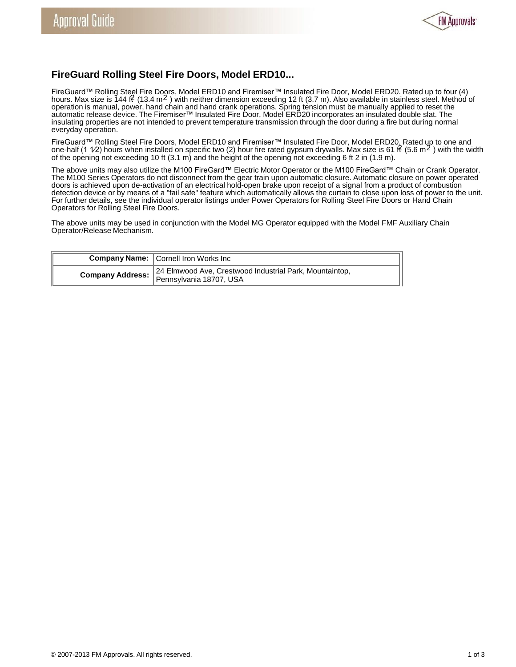

## **FireGuard Rolling Steel Fire Doors, Model ERD10...**

FireGuard™ Rolling Steel Fire Doors, Model ERD10 and Firemiser™ Insulated Fire Door, Model ERD20. Rated up to four (4)<br>hours. Max size is 144 f€ (13.4 m<sup>2</sup> ) with neither dimension exceeding 12 ft (3.7 m). Also available operation is manual, power, hand chain and hand crank operations. Spring tension must be manually applied to reset the automatic release device. The Firemiser™ Insulated Fire Door, Model ERD20 incorporates an insulated double slat. The insulating properties are not intended to prevent temperature transmission through the door during a fire but during normal everyday operation.

FireGuard™ Rolling Steel Fire Doors, Model ERD10 and Firemiser™ Insulated Fire Door, Model ERD20. Rated up to one and one-half (1  $1/2$ ) hours when installed on specific two (2) hour fire rated gypsum drywalls. Max size is 61  $\mathcal{H}$  (5.6 m<sup>2</sup>) with the width of the opening not exceeding 10 ft (3.1 m) and the height of the opening not exceeding 6 ft 2 in (1.9 m).

The above units may also utilize the M100 FireGard™ Electric Motor Operator or the M100 FireGard™ Chain or Crank Operator. The M100 Series Operators do not disconnect from the gear train upon automatic closure. Automatic closure on power operated doors is achieved upon de-activation of an electrical hold-open brake upon receipt of a signal from a product of combustion detection device or by means of a "fail safe" feature which automatically allows the curtain to close upon loss of power to the unit. For further details, see the individual operator listings under Power Operators for Rolling Steel Fire Doors or Hand Chain Operators for Rolling Steel Fire Doors.

The above units may be used in conjunction with the Model MG Operator equipped with the Model FMF Auxiliary Chain Operator/Release Mechanism.

|                  | <b>Company Name:</b> Cornell Iron Works Inc.                                       |  |
|------------------|------------------------------------------------------------------------------------|--|
| Company Address: | 24 Elmwood Ave, Crestwood Industrial Park, Mountaintop,<br>Pennsylvania 18707, USA |  |